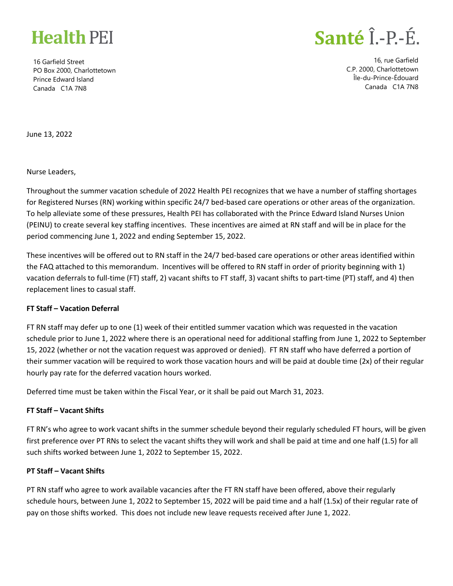

16 Garfield Street PO Box 2000, Charlottetown Prince Edward Island Canada C1A 7N8

## Santé Î.-P.-É.

16, rue Garfield C.P. 2000, Charlottetown Île-du-Prince-Édouard Canada C1A 7N8

June 13, 2022

Nurse Leaders,

Throughout the summer vacation schedule of 2022 Health PEI recognizes that we have a number of staffing shortages for Registered Nurses (RN) working within specific 24/7 bed-based care operations or other areas of the organization. To help alleviate some of these pressures, Health PEI has collaborated with the Prince Edward Island Nurses Union (PEINU) to create several key staffing incentives. These incentives are aimed at RN staff and will be in place for the period commencing June 1, 2022 and ending September 15, 2022.

These incentives will be offered out to RN staff in the 24/7 bed-based care operations or other areas identified within the FAQ attached to this memorandum. Incentives will be offered to RN staff in order of priority beginning with 1) vacation deferrals to full-time (FT) staff, 2) vacant shifts to FT staff, 3) vacant shifts to part-time (PT) staff, and 4) then replacement lines to casual staff.

#### **FT Staff – Vacation Deferral**

FT RN staff may defer up to one (1) week of their entitled summer vacation which was requested in the vacation schedule prior to June 1, 2022 where there is an operational need for additional staffing from June 1, 2022 to September 15, 2022 (whether or not the vacation request was approved or denied). FT RN staff who have deferred a portion of their summer vacation will be required to work those vacation hours and will be paid at double time (2x) of their regular hourly pay rate for the deferred vacation hours worked.

Deferred time must be taken within the Fiscal Year, or it shall be paid out March 31, 2023.

#### **FT Staff – Vacant Shifts**

FT RN's who agree to work vacant shifts in the summer schedule beyond their regularly scheduled FT hours, will be given first preference over PT RNs to select the vacant shifts they will work and shall be paid at time and one half (1.5) for all such shifts worked between June 1, 2022 to September 15, 2022.

#### **PT Staff – Vacant Shifts**

PT RN staff who agree to work available vacancies after the FT RN staff have been offered, above their regularly schedule hours, between June 1, 2022 to September 15, 2022 will be paid time and a half (1.5x) of their regular rate of pay on those shifts worked. This does not include new leave requests received after June 1, 2022.